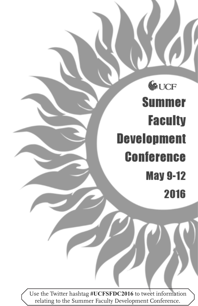# GUCF **Summer Faculty Development Conference May 9-12** 2016

Use the Twitter hashtag **#UCFSFDC2016** to tweet information relating to the Summer Faculty Development Conference.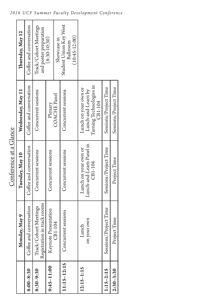|                |                                                      | Conference at a Glance              |                                                          |                                                       |  |
|----------------|------------------------------------------------------|-------------------------------------|----------------------------------------------------------|-------------------------------------------------------|--|
|                | Monday, May 9                                        | Tuesday, May 10                     | Wednesday, May 11                                        | Thursday, May 12                                      |  |
| $8:00 - 8:30$  | Coffee and conversation                              | Coffee and conversation             | Coffee and conversation                                  | Coffee and conversation                               |  |
| $8:30 - 9:30$  | Registration in track rooms<br>Track/Cohort Meetings | Concurrent sessions                 | Concurrent sessions                                      | Track/Cohort Meetings<br>and poster preparation       |  |
| $9:45 - 11:00$ | Keynote Presentation                                 | Concurrent sessions                 | Plenary                                                  | $(8:30-10:30)$                                        |  |
|                | CB1-104                                              |                                     | <b>COACHE</b> Panel                                      | Showcase in                                           |  |
| $1:15 - 12:15$ | Concurrent sessions                                  | Concurrent sessions                 | Concurrent sessions                                      | Student Union Key West<br>$(10:45-12:00)$<br>Ballroom |  |
| $12:15 - 1:15$ | Lunch                                                | Lunch on your own or                | Lunch on your own or                                     |                                                       |  |
|                | on your own                                          | Lunch-and-Learn Panel in<br>CB1-104 | Turning Technologies in<br>Lunch-and-Learn by<br>CB1-104 |                                                       |  |
| $115 - 2:15$   | Sessions/Project Time                                | Sessions/Project Time               | Sessions/Project Time                                    |                                                       |  |
| $2:30 - 3:30$  | Project Time                                         | Project Time                        | Sessions/Project Time                                    |                                                       |  |

## *2016 UCF Summer Faculty Development Conference*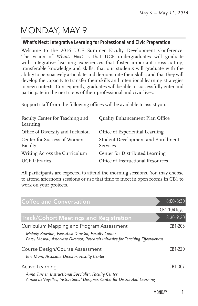# MONDAY, MAY 9

## What's Next: Integrative Learning for Professional and Civic Preparation

Welcome to the 2016 UCF Summer Faculty Development Conference. The vision of *What's Next* is that UCF undergraduates will graduate with integrative learning experiences that foster important cross-cutting, transferable knowledge and skills; that our students will graduate with the ability to persuasively articulate and demonstrate their skills; and that they will develop the capacity to transfer their skills and intentional learning strategies to new contexts. Consequently, graduates will be able to successfully enter and participate in the next steps of their professional and civic lives.

Support staff from the following offices will be available to assist you:

| Faculty Center for Teaching and<br>Learning | Quality Enhancement Plan Office                |
|---------------------------------------------|------------------------------------------------|
| Office of Diversity and Inclusion           | Office of Experiential Learning                |
| Center for Success of Women<br>Faculty      | Student Development and Enrollment<br>Services |
| Writing Across the Curriculum               | Center for Distributed Learning                |
| <b>UCF</b> Libraries                        | Office of Instructional Resources              |

All participants are expected to attend the morning sessions. You may choose to attend afternoon sessions or use that time to meet in open rooms in CB1 to work on your projects.

| <b>Coffee and Conversation</b>                                                                                                        | $8:00 - 8:30$ |
|---------------------------------------------------------------------------------------------------------------------------------------|---------------|
|                                                                                                                                       | CB1-104 foyer |
| <b>Track/Cohort Meetings and Registration</b>                                                                                         | $8:30-9:30$   |
| Curriculum Mapping and Program Assessment                                                                                             | CB1-205       |
| Melody Bowdon, Executive Director, Faculty Center<br>Patsy Moskal, Associate Director, Research Initiative for Teaching Effectiveness |               |
| Course Design/Course Assessment                                                                                                       | CB1-220       |
| Eric Main, Associate Director, Faculty Center                                                                                         |               |
| Active Learning                                                                                                                       | CB1-307       |
| Anna Turner, Instructional Specialist, Faculty Center<br>Aimee deNoyelles, Instructional Designer, Center for Distributed Learning    |               |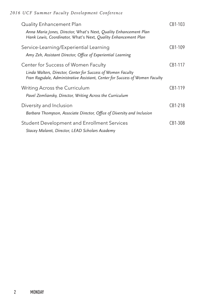## *2016 UCF Summer Faculty Development Conference*

| Quality Enhancement Plan<br>Anna Maria Jones, Director, What's Next, Quality Enhancement Plan<br>Hank Lewis, Coordinator, What's Next, Quality Enhancement Plan                     | CB1-103 |
|-------------------------------------------------------------------------------------------------------------------------------------------------------------------------------------|---------|
| Service-Learning/Experiential Learning<br>Amy Zeh, Assistant Director, Office of Experiential Learning                                                                              | CB1-109 |
| Center for Success of Women Faculty<br>Linda Walters, Director, Center for Success of Women Faculty<br>Fran Ragsdale, Administrative Assistant, Center for Success of Women Faculty | CB1-117 |
| Writing Across the Curriculum<br>Pavel Zemliansky, Director, Writing Across the Curriculum                                                                                          | CB1-119 |
| Diversity and Inclusion<br>Barbara Thompson, Associate Director, Office of Diversity and Inclusion                                                                                  | CB1-218 |
| <b>Student Development and Enrollment Services</b><br>Stacey Malaret, Director, LEAD Scholars Academy                                                                               | CB1-308 |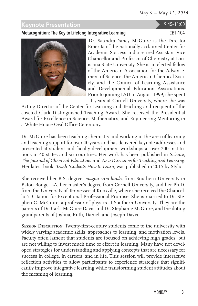## Keynote Presentation 9:45–11:00

## Metacognition: The Key to Lifelong Integrative Learning CB1-104



Dr. Saundra Yancy McGuire is the Director Emerita of the nationally acclaimed Center for Academic Success and a retired Assistant Vice Chancellor and Professor of Chemistry at Louisiana State University. She is an elected fellow of the American Association for the Advancement of Science, the American Chemical Society, and the Council of Learning Assistance and Developmental Education Associations. Prior to joining LSU in August 1999, she spent 11 years at Cornell University, where she was

Acting Director of the Center for Learning and Teaching and recipient of the coveted Clark Distinguished Teaching Award. She received the Presidential Award for Excellence in Science, Mathematics, and Engineering Mentoring in a White House Oval Office Ceremony.

Dr. McGuire has been teaching chemistry and working in the area of learning and teaching support for over 40 years and has delivered keynote addresses and presented at student and faculty development workshops at over 200 institutions in 40 states and six countries. Her work has been published in *Science*, *The Journal of Chemical Education*, and *New Directions for Teaching and Learning*. Her latest book, *Teach Students How to Learn*, was published in 2015 by Stylus.

She received her B.S. degree, *magna cum laude*, from Southern University in Baton Rouge, LA, her master's degree from Cornell University, and her Ph.D. from the University of Tennessee at Knoxville, where she received the Chancellor's Citation for Exceptional Professional Promise. She is married to Dr. Stephen C. McGuire, a professor of physics at Southern University. They are the parents of Dr. Carla McGuire Davis and Dr. Stephanie McGuire, and the doting grandparents of Joshua, Ruth, Daniel, and Joseph Davis.

**Session Description:** Twenty-first-century students come to the university with widely varying academic skills, approaches to learning, and motivation levels. Faculty often lament that students are focused on achieving high grades, but are not willing to invest much time or effort in learning. Many have not developed strategies for understanding and applying concepts that are necessary for success in college, in careers, and in life. This session will provide interactive reflection activities to allow participants to experience strategies that significantly improve integrative learning while transforming student attitudes about the meaning of learning.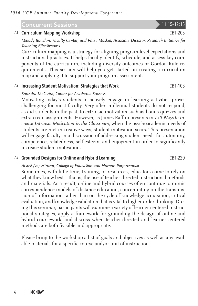## **Concurrent Sessions 11:15-12:15**

## A1 Curriculum Mapping Workshop CB1-205

*Melody Bowdon, Faculty Center; and Patsy Moskal, Associate Director, Research Initiative for Teaching Effectiveness*

Curriculum mapping is a strategy for aligning program-level expectations and instructional practices. It helps faculty identify, schedule, and assess key components of the curriculum, including diversity outcomes or Gordon Rule requirements. This session will help you get started on creating a curriculum map and applying it to support your program assessment.

#### A<sub>2</sub> Increasing Student Motivation: Strategies that Work CB1-103

#### *Saundra McGuire, Center for Academic Success*

Motivating today's students to actively engage in learning activities proves challenging for most faculty. Very often millennial students do not respond, as did students in the past, to extrinsic motivators such as bonus quizzes and extra-credit assignments. However, as James Raffini presents in *150 Ways to Increase Intrinsic Motivation in the Classroom*, when the psychoacademic needs of students are met in creative ways, student motivation soars. This presentation will engage faculty in a discussion of addressing student needs for autonomy, competence, relatedness, self-esteem, and enjoyment in order to significantly increase student motivation.

### A3 Grounded Designs for Online and Hybrid Learning CB1-220

### *Atsusi (2c) Hirumi, College of Education and Human Performance*

Sometimes, with little time, training, or resources, educators come to rely on what they know best—that is, the use of teacher-directed instructional methods and materials. As a result, online and hybrid courses often continue to mimic correspondence models of distance education, concentrating on the transmission of information rather than on the cycle of knowledge acquisition, critical evaluation, and knowledge validation that is vital to higher-order thinking. During this seminar, participants will examine a variety of learner-centered instructional strategies, apply a framework for grounding the design of online and hybrid coursework, and discuss when teacher-directed and learner-centered methods are both feasible and appropriate.

Please bring to the workshop a list of goals and objectives as well as any available materials for a specific course and/or unit of instruction.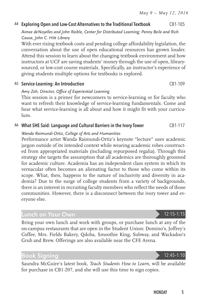## A4 Exploring Open and Low-Cost Alternatives to the Traditional Textbook CB1-105

*Aimee deNoyelles and John Raible, Center for Distributed Learning; Penny Beile and Rich Gause, John C. Hitt Library*

With ever rising textbook costs and pending college affordability legislation, the conversation about the use of open educational resources has grown louder. Attend this session to learn about the changing textbook environment and how instructors at UCF are saving students' money through the use of open, librarysourced, or low-cost course materials. Specifically, an instructor's experience of giving students multiple options for textbooks is explored.

#### A5 Service-Learning: An Introduction CB1-109

## *Amy Zeh, Director, Office of Experiential Learning*

This session is a primer for newcomers to service-learning or for faculty who want to refresh their knowledge of service-learning fundamentals. Come and hear what service-learning is all about and how it might fit with your curriculum.

## A6 What SHE Said: Language and Cultural Barriers in the Ivory Tower CB1-117

## *Wanda Raimundi-Ortiz, College of Arts and Humanities*

Performance artist Wanda Raimundi-Ortiz's keynote "lecture" uses academic jargon outside of its intended context while wearing academic robes constructed from appropriated materials (including repurposed regalia). Through this strategy she targets the assumption that all academics are thoroughly groomed for academic culture. Academia has an independent class system in which its vernacular often becomes an alienating factor to those who come within its scope. What, then, happens to the nature of inclusivity and diversity in academia? Due to the surge of college students from a variety of backgrounds, there is an interest in recruiting faculty members who reflect the needs of those communities. However, there is a disconnect between the ivory tower and everyone else.

## <span id="page-6-0"></span>Lunch on Your Own 12:15–1:15

Bring your own lunch and work with groups, or purchase lunch at any of the on-campus restaurants that are open in the Student Union: Domino's, Joffrey's Coffee, Mrs. Fields Bakery, Qdoba, Smoothie King, Subway, and Wackadoo's Grub and Brew. Offerings are also available near the CFE Arena.

## Book Signing 12:45–1:10

Saundra McGuire's latest book, *Teach Students How to Learn*, will be available for purchase in CB1-207, and she will use this time to sign copies.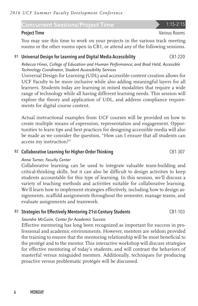## Concurrent Sessions/Project Time 1:15-2:15

You may use this time to work on your projects in the various track meeting rooms or the other rooms open in CB1, or attend any of the following sessions.

## B1 Universal Design for Learning and Digital Media Accessibility CB1-220

*Rebecca Hines, College of Education and Human Performance; and Brad Held, Accessible Technology Coordinator, Student Accessibility Services*

Universal Design for Learning (UDL) and accessible content creation allows for UCF Faculty to be more inclusive while also adding meaningful layers for all learners. Students today are learning in mixed modalities that require a wide range of technology while all having different learning needs. This session will explore the theory and application of UDL, and address compliance requirements for digital course content.

Actual instructional examples from UCF courses will be provided on how to create multiple means of expression, representation and engagement. Opportunities to learn tips and best practices for designing accessible media will also be made as we consider the question, "How can I ensure that all students can access my instruction?"

## B<sub>2</sub> Collaborative Learning for Higher-Order Thinking CB1-307

## *Anna Turner, Faculty Center*

Collaborative learning can be used to integrate valuable team-building and critical-thinking skills, but it can also be difficult to design activities to keep students accountable for this type of learning. In this session, we'll discuss a variety of teaching methods and activities suitable for collaborative learning. We'll learn how to implement strategies effectively, including how to design assignments, scaffold assignments throughout the semester, manage teams, and evaluate assignments and teamwork.

## B3 Strategies for Effectively Mentoring 21st-Century Students CB1-103

## *Saundra McGuire, Center for Academic Success*

Effective mentoring has long been recognized as important for success in professional and academic environments. However, mentors are seldom provided the training to ensure that the mentoring relationship will be most beneficial to the protégé and to the mentor. This interactive workshop will discuss strategies for effective mentoring of today's students, and will contrast the behaviors of masterful versus misguided mentors. Additionally, techniques for producing proactive versus problematic protégés will be discussed.

**Project Time** Various Rooms **Project Time** Various Rooms **Various Rooms**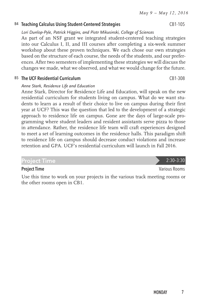## B4 Teaching Calculus Using Student-Centered Strategies CB1-105

*Lori Dunlop-Pyle, Patrick Higgins, and Piotr Mikusinski, College of Sciences*

As part of an NSF grant we integrated student-centered teaching strategies into our Calculus I, II, and III courses after completing a six-week summer workshop about these proven techniques. We each chose our own strategies based on the structure of each course, the needs of the students, and our preferences. After two semesters of implementing these strategies we will discuss the changes we made, what we observed, and what we would change for the future.

B5 The UCF Residential Curriculum CB1-308

## *Anne Stark, Residence Life and Education*

Anne Stark, Director for Residence Life and Education, will speak on the new residential curriculum for students living on campus. What do we want students to learn as a result of their choice to live on campus during their first year at UCF? This was the question that led to the development of a strategic approach to residence life on campus. Gone are the days of large-scale programming where student leaders and resident assistants serve pizza to those in attendance. Rather, the residence life team will craft experiences designed to meet a set of learning outcomes in the residence halls. This paradigm shift to residence life on campus should decrease conduct violations and increase retention and GPA. UCF's residential curriculum will launch in Fall 2016.

## Project Time 2:30–3:30

## **Project Time** Various Rooms **Project Time** Various Rooms **Various Rooms**

Use this time to work on your projects in the various track meeting rooms or the other rooms open in CB1.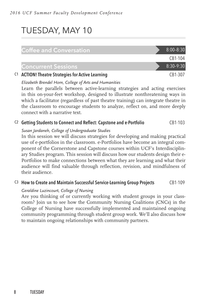# TUESDAY, MAY 10

## $\textsf{Coffee}$  and  $\textsf{Conversion}$  8:00–8:30 CB1-104 Concurrent Sessions 8:30-9:30 C1 ACTION! Theatre Strategies for Active Learning CB1-307

*Elizabeth Brendel Horn, College of Arts and Humanities*

Learn the parallels between active-learning strategies and acting exercises in this on-your-feet workshop, designed to illustrate nonthreatening ways in which a facilitator (regardless of past theatre training) can integrate theatre in the classroom to encourage students to analyze, reflect on, and more deeply connect with a narrative text.

## $C2$  Getting Students to Connect and Reflect: Capstone and e-Portfolio  $C11-103$

### *Susan Jardaneh, College of Undergraduate Studies*

In this session we will discuss strategies for developing and making practical use of e-portfolios in the classroom. e-Portfolios have become an integral component of the Cornerstone and Capstone courses within UCF's Interdisciplinary Studies program. This session will discuss how our students design their e-Portfolios to make connections between what they are learning and what their audience will find valuable through reflection, revision, and mindfulness of their audience.

## C3 How to Create and Maintain Successful Service-Learning Group Projects CB1-109

## *Geraldine Luzincourt, College of Nursing*

Are you thinking of or currently working with student groups in your classroom? Join us to see how the Community Nursing Coalitions (CNCs) in the College of Nursing have successfully implemented and maintained ongoing community programming through student group work. We'll also discuss how to maintain ongoing relationships with community partners.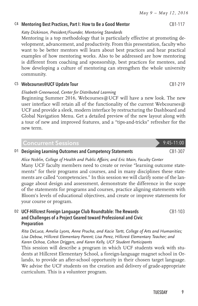## C4 Mentoring Best Practices, Part I: How to Be a Good Mentor CB1-117

#### *Katy Dickinson, President/Founder, Mentoring Standards*

Mentoring is a top methodology that is particularly effective at promoting development, advancement, and productivity. From this presentation, faculty who want to be better mentors will learn about best practices and hear practical examples of how mentoring works. Also to be addressed are how mentoring is different from coaching and sponsorship, best practices for mentees, and how developing a culture of mentoring can strengthen the whole university community.

#### C5 Webcourses@UCF Update Tour CB1-219

### *Elisabeth Greenwood, Center for Distributed Learning*

Beginning Summer 2016, Webcourses@UCF will have a new look. The new user interface will retain all of the functionality of the current Webcourses@ UCF and provide a sleek, modern interface by restructuring the Dashboard and Global Navigation Menu. Get a detailed preview of the new layout along with a tour of new and improved features, and a "tips-and-tricks" refresher for the new term.

## Concurrent Sessions 9:45-11:00

D1 Designing Learning Outcomes and Competency Statements CB1-307

*Alice Noblin, College of Health and Public Affairs; and Eric Main, Faculty Center* Many UCF faculty members need to create or revise "learning outcome statements" for their programs and courses, and in many disciplines these statements are called "competencies." In this session we will clarify some of the language about design and assessment, demonstrate the difference in the scope of the statements for programs and courses, practice aligning statements with Bloom's levels of educational objectives, and create or improve statements for your course or program.

#### D2 UCF-Hillcrest Foreign Language Club Roundtable: The Rewards and Challenges of a Project Geared toward Professional and Civic Preparation CB1-103

*Rita DeLuca, Amelia Lyons, Anne Prucha, and Kacie Tartt, College of Arts and Humanities; Lisa Debow, Hillcrest Elementary Parent; Lisa Perez, Hillcrest Elementary Teacher; and Karen Ochoa, Colton Driggers, and Karen Kelly, UCF Student Participants* This session will describe a program in which UCF students work with students at Hillcrest Elementary School, a foreign-language magnet school in Orlando, to provide an after-school opportunity in their chosen target language. We advise the UCF students on the creation and delivery of grade-appropriate curriculum. This is a volunteer program.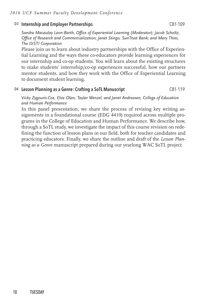## D3 Internship and Employer Partnerships CB1-109

*Sandra Macaulay Leon-Barth, Office of Experiential Learning (Moderator); Jacob Scholtz, Office of Research and Commercialization; Janet Stingo, SunTrust Bank; and Mary Thies, The DiSTI Corporation*

Please join us to learn about industry partnerships with the Office of Experiential Learning and the ways these co-educators provide learning experiences for our internship and co-op students. You will learn about the existing structures to make students' internship/co-op experiences successful, how our partners mentor students, and how they work with the Office of Experiential Learning to document student learning.

## D4 Lesson Planning as a Genre: Crafting a SoTL Manuscript CB1-119

#### *Vicky Zygouris-Coe, Elsie Olan, Taylar Wenzel, and Janet Andreasen, College of Education and Human Performance*

In this panel presentation, we share the process of revising key writing assignments in a foundational course (EDG 4410) required across multiple programs in the College of Education and Human Performance. We describe how, through a SoTL study, we investigate the impact of this course revision on redefining the function of lesson plans in our field, both for teacher candidates and practicing educators. Finally, we share the outline and draft of the *Lesson Planning as a Genre* manuscript prepared during our yearlong WAC SoTL project.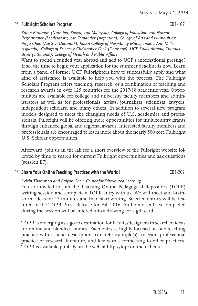### D5 Fulbright Scholars Program CB1-107

<span id="page-12-0"></span>*Karen Biraimah (Namibia, Kenya, and Malaysia), College of Education and Human Performance (Moderator); Jose Fernandez (Argentina), College of Arts and Humanities; Po-Ju Chen (Austria, Denmark), Rosen College of Hospitality Management; Ann Miller (Uganda), College of Sciences; Christopher Cook (Germany), UCF Study Abroad; Thomas Bryer (Lithuania), College of Health and Public Affairs*

Want to spend a funded year abroad and add to UCF's international prestige? If so, the time to begin your application for the summer deadline is now. Learn from a panel of former UCF Fulbrighters how to successfully apply and what kind of assistance is available to help you with the process. The Fulbright Scholars Program offers teaching, research, or a combination of teaching and research awards in over 125 countries for the 2017-18 academic year. Opportunities are available for college and university faculty members and administrators as well as for professionals, artists, journalists, scientists, lawyers, independent scholars, and many others. In addition to several new program models designed to meet the changing needs of U.S. academics and professionals, Fulbright will be offering more opportunities for multicountry grants through enhanced global and regional awards. Interested faculty members and professionals are encouraged to learn more about the nearly 500 core Fulbright U.S. Scholar opportunities.

Afterward, join us in the lab for a short overview of the Fulbright website followed by time to search for current Fulbright opportunities and ask questions (session [E](#page-14-0)7).

### D6 Share Your Online Teaching Practices with the World! CB1-202

#### *Kelvin Thompson and Baiyun Chen, Center for Distributed Learning*

You are invited to join the Teaching Online Pedagogical Repository (TOPR) writing session and complete a TOPR entry with us. We will meet and brainstorm ideas for 15 minutes and then start writing. Selected entries will be featured in the TOPR Press Release for Fall 2016. Authors of entries completed during the session will be entered into a drawing for a gift card.

TOPR is emerging as a go-to destination for faculty/designers in search of ideas for online and blended courses. Each entry is highly focused on one teaching practice with a solid description, concrete example(s), relevant professional practice or research literature, and key words connecting to other practices. TOPR is available publicly on the web at <http://topr.online.ucf.edu>.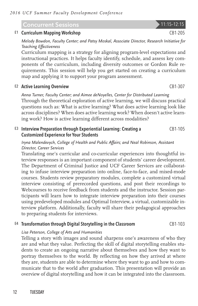## Concurrent Sessions 11:15-12:15

## E1 Curriculum Mapping Workshop CB1-205

*Melody Bowdon, Faculty Center; and Patsy Moskal, Associate Director, Research Initiative for Teaching Effectiveness*

Curriculum mapping is a strategy for aligning program-level expectations and instructional practices. It helps faculty identify, schedule, and assess key components of the curriculum, including diversity outcomes or Gordon Rule requirements. This session will help you get started on creating a curriculum map and applying it to support your program assessment.

### E2 Active Learning Overview CB1-307

*Anna Turner, Faculty Center; and Aimee deNoyelles, Center for Distributed Learning* Through the theoretical exploration of active learning, we will discuss practical questions such as: What is active learning? What does active learning look like across disciplines? When does active learning work? When doesn't active learning work? How is active learning different across modalities?

#### E3 Interview Preparation through Experiential Learning: Creating a Customized Experience for Your Students CB1-105

### *Iryna Malendevych, College of Health and Public Affairs; and Neal Robinson, Assistant Director, Career Services*

Translating one's curricular and co-curricular experiences into thoughtful interview responses is an important component of students' career development. The Department of Criminal Justice and UCF Career Services are collaborating to infuse interview preparation into online, face-to-face, and mixed-mode courses. Students review preparatory modules, complete a customized virtual interview consisting of prerecorded questions, and post their recordings to Webcourses to receive feedback from students and the instructor. Session participants will learn how to integrate interview preparation into their courses using predeveloped modules and Optimal Interview, a virtual, customizable interview platform. Additionally, faculty will share their pedagogical approaches to preparing students for interviews.

## $E4$  Transformation through Digital Storytelling in the Classroom CB1-103

### *Lisa Peterson, College of Arts and Humanities*

Telling a story with images and sound sharpens one's awareness of who they are and what they value. Perfecting the skill of digital storytelling enables students to create an ongoing narrative about themselves and how they want to portray themselves to the world. By reflecting on how they arrived at where they are, students are able to determine where they want to go and how to communicate that to the world after graduation. This presentation will provide an overview of digital storytelling and how it can be integrated into the classroom.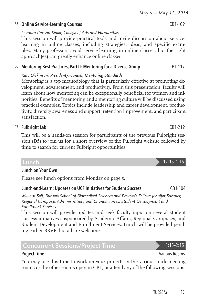## *May 9 – May 12, 2016*

## E5 Online Service-Learning Courses CB1-109

*Leandra Preston-Sidler, College of Arts and Humanities*

This session will provide practical tools and invite discussion about servicelearning in online classes, including strategies, ideas, and specific examples. Many professors avoid service-learning in online classes, but the right approach(es) can greatly enhance online classes.

## E6 Mentoring Best Practices, Part II: Mentoring for a Diverse Group CB1-117

*Katy Dickinson, President/Founder, Mentoring Standards*

Mentoring is a top methodology that is particularly effective at promoting development, advancement, and productivity. From this presentation, faculty will learn about how mentoring can be exceptionally beneficial for women and minorities. Benefits of mentoring and a mentoring culture will be discussed using practical examples. Topics include leadership and career development, productivity, diversity awareness and support, retention improvement, and participant satisfaction.

## <span id="page-14-0"></span>E7 Fulbright Lab CB1-219

This will be a hands-on session for participants of the previous Fulbright session ([D](#page-12-0)5) to join us for a short overview of the Fulbright website followed by time to search for current Fulbright opportunities

## Lunch on Your Own

Please see lunch options from Monday on [page 5.](#page-6-0)

## Lunch-and-Learn: Updates on UCF Initiatives for Student Success CB1-104

*William Self, Burnett School of Biomedical Sciences and Provost's Fellow; Jennifer Sumner, Regional Campuses Administration; and Chanda Torres, Student Development and Enrollment Services*

This session will provide updates and seek faculty input on several student success initiatives cosponsored by Academic Affairs, Regional Campuses, and Student Development and Enrollment Services. Lunch will be provided pending earlier RSVP, but all are welcome.

## Concurrent Sessions/Project Time 2012 1:15-2:15

## **Project Time Various Rooms Project Time** Various Rooms **Various Rooms**

You may use this time to work on your projects in the various track meeting rooms or the other rooms open in CB1, or attend any of the following sessions.

## Lunch 12:15–1:15

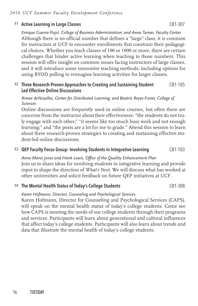## F1 Active Learning in Large Classes CB1-307

*Enrique Guerra-Pujol, College of Business Administration; and Anna Turner, Faculty Center* Although there is no official number that defines a "large" class, it is common for instructors at UCF to encounter enrollments that constrain their pedagogical choices. Whether you teach classes of 100 or 1000 or more, there are certain challenges that hinder active learning when teaching to those numbers. This session will offer insight on common issues facing instructors of large classes, and it will introduce some innovative teaching methods, including options for using BYOD polling to reimagine learning activities for larger classes.

#### F2 Three Research-Proven Approaches to Creating and Sustaining Student-Led Effective Online Discussions CB1-105

### *Aimee deNoyelles, Center for Distributed Learning; and Beatriz Reyes-Foster, College of Sciences*

Online discussions are frequently used in online courses, but often there are concerns from the instructor about their effectiveness: "the students do not truly engage with each other;" "it seems like too much busy work and not enough learning;" and "the posts are a lot for me to grade." Attend this session to learn about three research-proven strategies to creating and sustaining effective student-led online discussions.

## F3 QEP Faculty Focus Group: Involving Students in Integrative Learning CB1-103

## *Anna Maria Jones and Hank Lewis, Office of the Quality Enhancement Plan*

Join us to share ideas for involving students in integrative learning and provide input to shape the direction of *What's Next*. We will discuss what has worked at other universities and solicit feedback on future QEP initiatives at UCF.

## F4 The Mental Health Status of Today's College Students CB1-308

## *Karen Hofmann, Director, Counseling and Psychological Services*

Karen Hofmann, Director for Counseling and Psychological Services (CAPS), will speak on the mental health status of today's college students. Come see how CAPS is meeting the needs of our college students through their programs and services. Participants will learn about generational and cultural influences that affect today's college students. Participants will also learn about trends and data that illustrate the mental health of today's college students.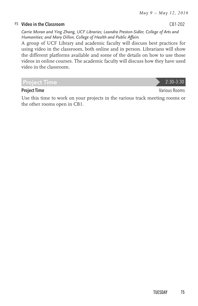### F5 Video in the Classroom CB1-202

*Carrie Moran and Ying Zhang, UCF Libraries; Leandra Preston-Sidler, College of Arts and Humanities; and Mary Dillon, College of Health and Public Affairs*

A group of UCF Library and academic faculty will discuss best practices for using video in the classroom, both online and in person. Librarians will show the different platforms available and some of the details on how to use those videos in online courses. The academic faculty will discuss how they have used video in the classroom.

Project Time 2:30–3:30

#### **Project Time** Various Rooms **Project Time** Various Rooms **Various Rooms**

Use this time to work on your projects in the various track meeting rooms or the other rooms open in CB1.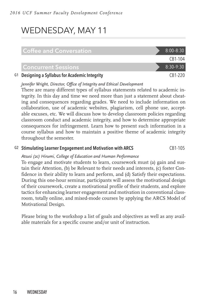# WEDNESDAY, MAY 11

| <b>Coffee and Conversation</b>                 | $8:00 - 8:30$ |
|------------------------------------------------|---------------|
|                                                | CB1-104       |
| <b>Concurrent Sessions</b>                     | $8:30-9:30$   |
| G1 Designing a Syllabus for Academic Integrity | $CR1-220$     |

#### *Jennifer Wright, Director, Office of Integrity and Ethical Development*

There are many different types of syllabus statements related to academic integrity. In this day and time we need more than just a statement about cheating and consequences regarding grades. We need to include information on collaboration, use of academic websites, plagiarism, cell phone use, acceptable excuses, etc. We will discuss how to develop classroom policies regarding classroom conduct and academic integrity, and how to determine appropriate consequences for infringement. Learn how to present such information in a course syllabus and how to maintain a positive theme of academic integrity throughout the semester.

### G2 Stimulating Learner Engagement and Motivation with ARCS CB1-105

### *Atsusi (2c) Hirumi, College of Education and Human Performance*

To engage and motivate students to learn, coursework must (a) gain and sustain their Attention, (b) be Relevant to their needs and interests, (c) foster Confidence in their ability to learn and perform, and (d) Satisfy their expectations. During this one-hour seminar, participants will assess the motivational design of their coursework, create a motivational profile of their students, and explore tactics for enhancing learner engagement and motivation in conventional classroom, totally online, and mixed-mode courses by applying the ARCS Model of Motivational Design.

Please bring to the workshop a list of goals and objectives as well as any available materials for a specific course and/or unit of instruction.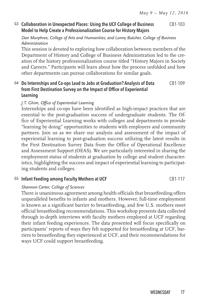#### G3 Collaboration in Unexpected Places: Using the UCF College of Business Model to Help Create a Professionalization Course for History Majors CB1-103

### *Dan Murphree, College of Arts and Humanities; and Lonny Butcher, College of Business Administration*

This session is devoted to exploring how collaboration between members of the Department of History and College of Business Administration led to the creation of the history professionalization course titled "History Majors in Society and Careers." Participants will learn about how the process unfolded and how other departments can pursue collaborations for similar goals.

#### G4 Do Internships and Co-ops Lead to Jobs at Graduation? Analysis of Data from First Destination Survey on the Impact of Office of Experiential Learning CB1-109

## *J.T. Ghim, Office of Experiential Learning*

Internships and co-ops have been identified as high-impact practices that are essential to the post-graduation success of undergraduate students. The Office of Experiential Learning works with colleges and departments to provide "learning by doing" opportunities to students with employers and community partners. Join us as we share our analysis and assessment of the impact of experiential learning to post-graduation success utilizing the latest results in the First Destination Survey Data from the Office of Operational Excellence and Assessment Support (OEAS). We are particularly interested in sharing the employment status of students at graduation by college and student characteristics, highlighting the success and impact of experiential learning to participating students and colleges.

### G5 Infant Feeding among Faculty Mothers at UCF CB1-117

### *Shannon Carter, College of Sciences*

There is unanimous agreement among health officials that breastfeeding offers unparalleled benefits to infants and mothers. However, full-time employment is known as a significant barrier to breastfeeding, and few U.S. mothers meet official breastfeeding recommendations. This workshop presents data collected through in-depth interviews with faculty mothers employed at UCF regarding their infant feeding experiences. The data presented will focus specifically on participants' reports of ways they felt supported for breastfeeding at UCF, barriers to breastfeeding they experienced at UCF, and their recommendations for ways UCF could support breastfeeding.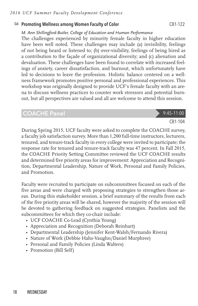### G6 Promoting Wellness among Women Faculty of Color CB1-122

*M. Ann Shillingford-Butler, College of Education and Human Performance*

The challenges experienced by minority female faculty in higher education have been well noted. These challenges may include (a) invisibility, feelings of not being heard or listened to; (b) over-visibility, feelings of being hired as a contribution to the façade of organizational diversity; and (c) alienation and devaluation. These challenges have been found to correlate with increased feelings of anxiety, career dissatisfaction, and burnout, which unfortunately have led to decisions to leave the profession. Holistic balance centered on a wellness framework promotes positive personal and professional experiences. This workshop was originally designed to provide UCF's female faculty with an arena to discuss wellness practices to counter work stressors and potential burnout, but all perspectives are valued and all are welcome to attend this session.

## COACHE Panel 9:45-11:00

## CB1-104

During Spring 2015, UCF faculty were asked to complete the COACHE survey, a faculty job satisfaction survey. More than 1,200 full-time instructors, lecturers, tenured, and tenure-track faculty in every college were invited to participate; the response rate for tenured and tenure-track faculty was 47 percent. In Fall 2015, the COACHE Priority Setting Committee reviewed the UCF COACHE results and determined five priority areas for improvement: Appreciation and Recognition, Departmental Leadership, Nature of Work, Personal and Family Policies, and Promotion.

Faculty were recruited to participate on subcommittees focused on each of the five areas and were charged with proposing strategies to strengthen those areas. During this stakeholder session, a brief summary of the results from each of the five priority areas will be shared, however the majority of the session will be devoted to gathering feedback on suggested strategies. Panelists and the subcommittees for which they co-chair include:

- UCF COACHE Co-Lead (Cynthia Young)
- Appreciation and Recognition (Deborah Reinhart)
- Departmental Leadership (Jennifer Kent-Walsh/Fernando Rivera)
- Nature of Work (Debbie Hahs-Vaughn/Daniel Murphree)
- • Personal and Family Policies (Linda Walters)
- Promotion (Bill Self)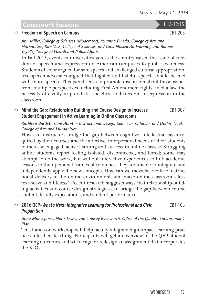## Concurrent Sessions 11:15-12:15

#### H1 Freedom of Speech on Campus CB1-205

*Ann Miller, College of Sciences (Moderator); Yovanna Pineda, College of Arts and Humanities; Kim Voss, College of Sciences; and Gina Naccarato-Fromang and Bonnie Yegidis, College of Health and Public Affairs*

In Fall 2015, events in universities across the country raised the issue of freedom of speech and expression on American campuses to public awareness. Students of color argued for safe spaces and challenged cultural appropriation; free-speech advocates argued that bigoted and hateful speech should be met with more speech. This panel seeks to promote discussion about those issues from multiple perspectives including First Amendment rights, media law, the necessity of civility in pluralistic societies, and freedom of expression in the classroom.

#### H2 Mind the Gap: Relationship Building and Course Design to Increase Student Engagement in Active Learning in Online Classrooms CB1-307

*Kathleen Bartlett, Consultant in Instructional Design, SoarTech, Orlando; and Darlin' Neal, College of Arts and Humanities*

How can instructors bridge the gap between cognitive, intellectual tasks required by their courses and the affective, interpersonal needs of their students to increase engaged, active learning and success in online classes? Struggling online students report feeling isolated, disconnected, and bored; some may attempt to do the work, but without interactive experiences to link academic lessons to their personal frames of reference, they are unable to integrate and independently apply the new concepts. How can we move face-to-face instructional delivery to the online environment, and make online classrooms less text-heavy and lifeless? Recent research suggests ways that relationship-building activities and course-design strategies can bridge the gap between course content, faculty expectations, and student performance.

#### H3 2016 QEP—*What's Next: Integrative Learning for Professional and Civic Preparation* CB1-103

*Anna Maria Jones, Hank Lewis, and Lindsay Rushworth, Office of the Quality Enhancement Plan*

This hands-on workshop will help faculty integrate high-impact learning practices into their teaching. Participants will get an overview of the QEP student learning outcomes and will design or redesign an assignment that incorporates the SLOs.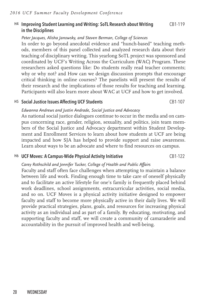## H4 Improving Student Learning and Writing: SoTL Research about Writing in the Disciplines

#### *Peter Jacques, Alisha Janowsky, and Steven Berman, College of Sciences*

In order to go beyond anecdotal evidence and "hunch-based" teaching methods, members of this panel collected and analyzed research data about their teaching of disciplinary writing. This yearlong SoTL project was sponsored and coordinated by UCF's Writing Across the Curriculum (WAC) Program. These researchers asked questions like: Do students really read teacher comments; why or why not? and How can we design discussion prompts that encourage critical thinking in online courses? The panelists will present the results of their research and the implications of those results for teaching and learning. Participants will also learn more about WAC at UCF and how to get involved.

#### H<sub>5</sub> Social Justice Issues Affecting UCF Students CB1-107

#### *Edwanna Andrews and Justin Andrade, Social Justice and Advocacy*

As national social justice dialogues continue to occur in the media and on campus concerning race, gender, religion, sexuality, and politics, join team members of the Social Justice and Advocacy department within Student Development and Enrollment Services to learn about how students at UCF are being impacted and how SJA has helped to provide support and raise awareness. Learn about ways to be an advocate and where to find resources on campus.

### H6 UCF Moves: A Campus-Wide Physical Activity Initiative CB1-122

## *Carey Rothschild and Jennifer Tucker, College of Health and Public Affairs*

Faculty and staff often face challenges when attempting to maintain a balance between life and work. Finding enough time to take care of oneself physically and to facilitate an active lifestyle for one's family is frequently placed behind work deadlines, school assignments, extracurricular activities, social media, and so on. UCF Moves is a physical activity initiative designed to empower faculty and staff to become more physically active in their daily lives. We will provide practical strategies, plans, goals, and resources for increasing physical activity as an individual and as part of a family. By educating, motivating, and supporting faculty and staff, we will create a community of camaraderie and accountability in the pursuit of improved health and well-being.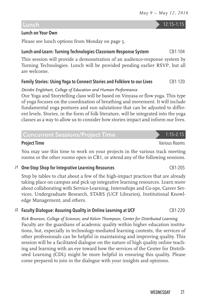## Lunch 12:15–1:15

## Lunch on Your Own

Please see lunch options from Monday on [page 5.](#page-6-0)

## Lunch-and-Learn: Turning Technologies Classroom Response System CB1-104

This session will provide a demonstration of an audience-response system by Turning Technologies. Lunch will be provided pending earlier RSVP, but all are welcome.

## Family Stories: Using Yoga to Connect Stories and Folklore to our Lives CB1-120

*Deirdre Englehart, College of Education and Human Performance*

Our Yoga and Storytelling class will be based on Vinyasa or flow yoga. This type of yoga focuses on the coordination of breathing and movement. It will include fundamental yoga postures and sun salutations that can be adjusted to different levels. Stories, in the form of folk literature, will be integrated into the yoga classes as a way to allow us to consider how stories impact and inform our lives.

## Concurrent Sessions/Project Time 1:15-2:15

You may use this time to work on your projects in the various track meeting rooms or the other rooms open in CB1, or attend any of the following sessions.

## J1 One-Stop Shop for Integrative Learning Resources CB1-205

Stop by tables to chat about a few of the high-impact practices that are already taking place on campus and pick up integrative learning resources. Learn more about collaborating with Service-Learning, Internships and Co-ops, Career Services, Undergraduate Research, STARS (UCF Libraries), Institutional Knowledge Management, and others.

## $J2$  Faculty Dialogue: Assuring Quality in Online Learning at UCF CB1-220

*Rick Brunson, College of Sciences; and Kelvin Thompson, Center for Distributed Learning* Faculty are the guardians of academic quality within higher education institutions, but, especially in technology-mediated learning contexts, the services of other professionals can be helpful in maintaining and improving quality. This session will be a facilitated dialogue on the nature of high quality online teaching and learning with an eye toward how the services of the Center for Distributed Learning (CDL) might be more helpful in ensuring this quality. Please come prepared to join in the dialogue with your insights and opinions.

**Project Time** Various Rooms **Project Time** Various Rooms **Various Rooms**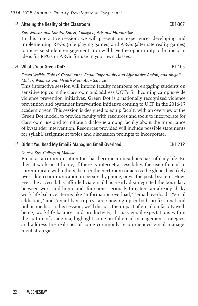#### J3 Altering the Reality of the Classroom CB1-307

*Keri Watson and Sandra Sousa, College of Arts and Humanities*

In this interactive session, we will present our experiences developing and implementing RPGs (role playing games) and ARGs (alternate reality games) to increase student engagement. You will have the opportunity to brainstorm ideas for RPGs or ARGs for use in your own classes.

#### J4 What's Your Green Dot? CB1-105

### *Dawn Welkie, Title IX Coordinator, Equal Opportunity and Affirmative Action; and Abigail Malick, Wellness and Health Promotion Services*

This interactive session will inform faculty members on engaging students on sensitive topics in the classroom and address UCF's forthcoming campus-wide violence prevention initiatives. Green Dot is a nationally recognized violence prevention and bystander intervention initiative coming to UCF in the 2016-17 academic year. This session is designed to equip faculty with an overview of the Green Dot model, to provide faculty with resources and tools to incorporate for classroom use and to initiate a dialogue among faculty about the importance of bystander intervention. Resources provided will include possible statements for syllabi, assignment topics and discussion prompts to incorporate.

#### J5 Didn't You Read My Email? Managing Email Overload CB1-219

#### *Denise Kay, College of Medicine*

Email as a communication tool has become an insidious part of daily life. Either at work or at home, if there is internet accessibility, the use of email to communicate with others, be it in the next room or across the globe, has likely overridden communication in person, by phone, or via the postal system. However, the accessibility afforded via email has nearly disintegrated the boundary between work and home and, for some, seriously threatens an already shaky work-life balance. Terms like "information overload," "email overload," "email addiction," and "email bankruptcy" are showing up in both professional and public media. In this session, we'll discuss the impact of email on faculty wellbeing, work-life balance, and productivity; discuss email expectations within the culture of academia; highlight some useful email management strategies; and address the real cost of some commonly recommended email management strategies.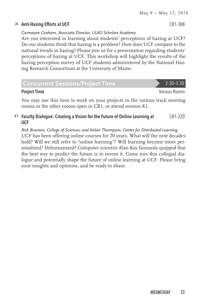## J6 Anti-Hazing Efforts at UCF CB1-308

*Germayne Graham, Associate Director, LEAD Scholars Academy*

Are you interested in learning about students' perceptions of hazing at UCF? Do our students think that hazing is a problem? How does UCF compare to the national trends in hazing? Please join us for a presentation regarding students' perceptions of hazing at UCF. This workshop will highlight the results of the hazing perception survey of UCF students administered by the National Hazing Research Consortium at the University of Maine.

| <b>Concurrent Sessions/Project Time</b> | $2:30-3:30$   |
|-----------------------------------------|---------------|
| <b>Project Time</b>                     | Various Rooms |

You may use this time to work on your projects in the various track meeting rooms or the other rooms open in CB1, or attend session K1.

#### K1 Faculty Dialogue: Creating a Vision for the Future of Online Learning at UCF CB1-220

*Rick Brunson, College of Sciences; and Kelvin Thompson, Center for Distributed Learning* UCF has been offering online courses for 20 years. What will the next decades hold? Will we still refer to "online learning"? Will learning become more personalized? Dehumanized? Computer scientist Alan Kay famously quipped that the best way to predict the future is to invent it. Come join this collegial dialogue and potentially shape the future of online learning at UCF. Please bring your insights and opinions, and be ready to share.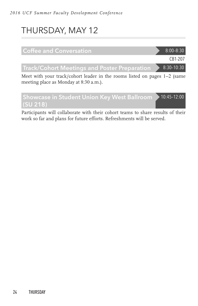# THURSDAY, MAY 12

(SU 218)



Participants will collaborate with their cohort teams to share results of their work so far and plans for future efforts. Refreshments will be served.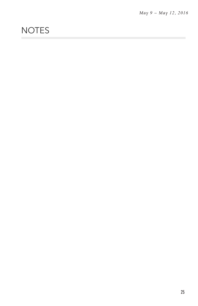# **NOTES**